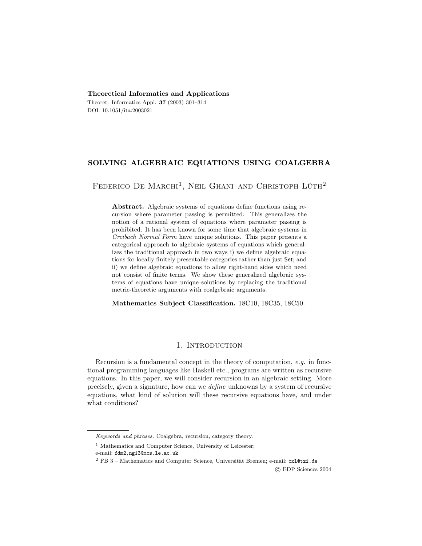## **Theoretical Informatics and Applications**

Theoret. Informatics Appl. **37** (2003) 301–314 DOI: 10.1051/ita:2003021

# **SOLVING ALGEBRAIC EQUATIONS USING COALGEBRA**

FEDERICO DE MARCHI<sup>1</sup>, NEIL GHANI AND CHRISTOPH LÜTH<sup>2</sup>

**Abstract.** Algebraic systems of equations define functions using recursion where parameter passing is permitted. This generalizes the notion of a rational system of equations where parameter passing is prohibited. It has been known for some time that algebraic systems in Greibach Normal Form have unique solutions. This paper presents a categorical approach to algebraic systems of equations which generalizes the traditional approach in two ways i) we define algebraic equations for locally finitely presentable categories rather than just Set; and ii) we define algebraic equations to allow right-hand sides which need not consist of finite terms. We show these generalized algebraic systems of equations have unique solutions by replacing the traditional metric-theoretic arguments with coalgebraic arguments.

**Mathematics Subject Classification.** 18C10, 18C35, 18C50.

# 1. INTRODUCTION

Recursion is a fundamental concept in the theory of computation, *e.g.* in functional programming languages like Haskell etc., programs are written as recursive equations. In this paper, we will consider recursion in an algebraic setting. More precisely, given a signature, how can we *define* unknowns by a system of recursive equations, what kind of solution will these recursive equations have, and under what conditions?

c EDP Sciences 2004

Keywords and phrases. Coalgebra, recursion, category theory.

<sup>&</sup>lt;sup>1</sup> Mathematics and Computer Science, University of Leicester;

e-mail: fdm2,ng13@mcs.le.ac.uk

 $^{2}$  FB 3 – Mathematics and Computer Science, Universität Bremen; e-mail: cxl@tzi.de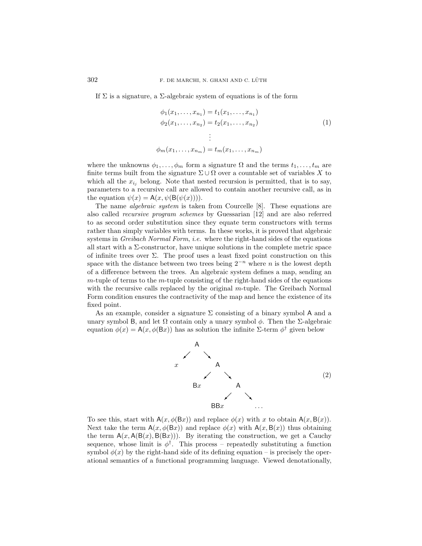If  $\Sigma$  is a signature, a  $\Sigma$ -algebraic system of equations is of the form

$$
\phi_1(x_1, \dots, x_{n_1}) = t_1(x_1, \dots, x_{n_1})
$$
  
\n
$$
\phi_2(x_1, \dots, x_{n_2}) = t_2(x_1, \dots, x_{n_2})
$$
  
\n
$$
\vdots
$$
  
\n
$$
\phi_m(x_1, \dots, x_{n_m}) = t_m(x_1, \dots, x_{n_m})
$$
\n(1)

where the unknowns  $\phi_1,\ldots,\phi_m$  form a signature  $\Omega$  and the terms  $t_1,\ldots,t_m$  are finite terms built from the signature  $\Sigma \cup \Omega$  over a countable set of variables X to which all the  $x_{i_j}$  belong. Note that nested recursion is permitted, that is to say, parameters to a recursive call are allowed to contain another recursive call, as in the equation  $\psi(x) = A(x, \psi(B(\psi(x))))$ .

The name *algebraic system* is taken from Courcelle [8]. These equations are also called *recursive program schemes* by Guessarian [12] and are also referred to as second order substitution since they equate term constructors with terms rather than simply variables with terms. In these works, it is proved that algebraic systems in *Greibach Normal Form*, *i.e.* where the right-hand sides of the equations all start with a  $\Sigma$ -constructor, have unique solutions in the complete metric space of infinite trees over  $\Sigma$ . The proof uses a least fixed point construction on this space with the distance between two trees being  $2^{-n}$  where n is the lowest depth of a difference between the trees. An algebraic system defines a map, sending an  $m$ -tuple of terms to the  $m$ -tuple consisting of the right-hand sides of the equations with the recursive calls replaced by the original m-tuple. The Greibach Normal Form condition ensures the contractivity of the map and hence the existence of its fixed point.

As an example, consider a signature  $\Sigma$  consisting of a binary symbol A and a unary symbol B, and let  $\Omega$  contain only a unary symbol  $\phi$ . Then the Σ-algebraic equation  $\phi(x) = A(x, \phi(Bx))$  has as solution the infinite Σ-term  $\phi^{\dagger}$  given below



To see this, start with  $A(x, \phi(Bx))$  and replace  $\phi(x)$  with x to obtain  $A(x, B(x))$ . Next take the term  $A(x, \phi(Bx))$  and replace  $\phi(x)$  with  $A(x, B(x))$  thus obtaining the term  $A(x, A(B(x), B(Bx)))$ . By iterating the construction, we get a Cauchy sequence, whose limit is  $\phi^{\dagger}$ . This process – repeatedly substituting a function symbol  $\phi(x)$  by the right-hand side of its defining equation – is precisely the operational semantics of a functional programming language. Viewed denotationally,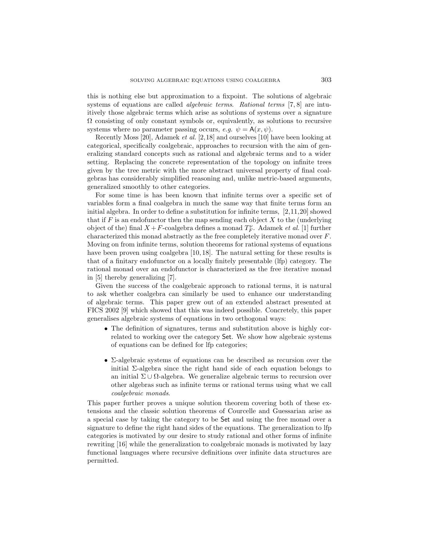this is nothing else but approximation to a fixpoint. The solutions of algebraic systems of equations are called *algebraic terms*. *Rational terms* [7, 8] are intuitively those algebraic terms which arise as solutions of systems over a signature  $\Omega$  consisting of only constant symbols or, equivalently, as solutions to recursive systems where no parameter passing occurs, *e.g.*  $\psi = A(x, \psi)$ .

Recently Moss [20], Adamek *et al.* [2,18] and ourselves [10] have been looking at categorical, specifically coalgebraic, approaches to recursion with the aim of generalizing standard concepts such as rational and algebraic terms and to a wider setting. Replacing the concrete representation of the topology on infinite trees given by the tree metric with the more abstract universal property of final coalgebras has considerably simplified reasoning and, unlike metric-based arguments, generalized smoothly to other categories.

For some time is has been known that infinite terms over a specific set of variables form a final coalgebra in much the same way that finite terms form an initial algebra. In order to define a substitution for infinite terms, [2,11,20] showed that if F is an endofunctor then the map sending each object X to the (underlying object of the) final  $X + F$ -coalgebra defines a monad  $T_F^{\nu}$ . Adamek *et al.* [1] further characterized this monad abstractly as the free completely iterative monad over F. Moving on from infinite terms, solution theorems for rational systems of equations have been proven using coalgebra [10, 18]. The natural setting for these results is that of a finitary endofunctor on a locally finitely presentable (lfp) category. The rational monad over an endofunctor is characterized as the free iterative monad in [5] thereby generalizing [7].

Given the success of the coalgebraic approach to rational terms, it is natural to ask whether coalgebra can similarly be used to enhance our understanding of algebraic terms. This paper grew out of an extended abstract presented at FICS 2002 [9] which showed that this was indeed possible. Concretely, this paper generalises algebraic systems of equations in two orthogonal ways:

- The definition of signatures, terms and substitution above is highly correlated to working over the category Set. We show how algebraic systems of equations can be defined for lfp categories;
- $\Sigma$ -algebraic systems of equations can be described as recursion over the initial  $\Sigma$ -algebra since the right hand side of each equation belongs to an initial  $\Sigma \cup \Omega$ -algebra. We generalize algebraic terms to recursion over other algebras such as infinite terms or rational terms using what we call *coalgebraic monads*.

This paper further proves a unique solution theorem covering both of these extensions and the classic solution theorems of Courcelle and Guessarian arise as a special case by taking the category to be Set and using the free monad over a signature to define the right hand sides of the equations. The generalization to lfp categories is motivated by our desire to study rational and other forms of infinite rewriting [16] while the generalization to coalgebraic monads is motivated by lazy functional languages where recursive definitions over infinite data structures are permitted.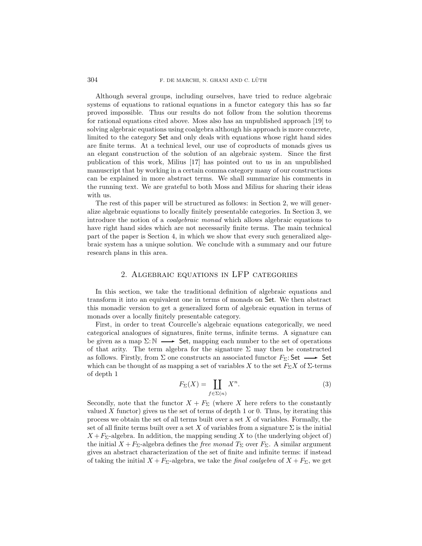Although several groups, including ourselves, have tried to reduce algebraic systems of equations to rational equations in a functor category this has so far proved impossible. Thus our results do not follow from the solution theorems for rational equations cited above. Moss also has an unpublished approach [19] to solving algebraic equations using coalgebra although his approach is more concrete, limited to the category Set and only deals with equations whose right hand sides are finite terms. At a technical level, our use of coproducts of monads gives us an elegant construction of the solution of an algebraic system. Since the first publication of this work, Milius [17] has pointed out to us in an unpublished manuscript that by working in a certain comma category many of our constructions can be explained in more abstract terms. We shall summarize his comments in the running text. We are grateful to both Moss and Milius for sharing their ideas with us.

The rest of this paper will be structured as follows: in Section 2, we will generalize algebraic equations to locally finitely presentable categories. In Section 3, we introduce the notion of a *coalgebraic monad* which allows algebraic equations to have right hand sides which are not necessarily finite terms. The main technical part of the paper is Section 4, in which we show that every such generalized algebraic system has a unique solution. We conclude with a summary and our future research plans in this area.

## 2. Algebraic equations in LFP categories

In this section, we take the traditional definition of algebraic equations and transform it into an equivalent one in terms of monads on Set. We then abstract this monadic version to get a generalized form of algebraic equation in terms of monads over a locally finitely presentable category.

First, in order to treat Courcelle's algebraic equations categorically, we need categorical analogues of signatures, finite terms, infinite terms. A signature can be given as a map  $\Sigma: \mathbb{N} \longrightarrow$  Set, mapping each number to the set of operations of that arity. The term algebra for the signature  $\Sigma$  may then be constructed as follows. Firstly, from  $\Sigma$  one constructs an associated functor  $F_{\Sigma}$ : Set  $\longrightarrow$  Set which can be thought of as mapping a set of variables X to the set  $F_\Sigma X$  of  $\Sigma$ -terms of depth 1

$$
F_{\Sigma}(X) = \coprod_{f \in \Sigma(n)} X^n.
$$
 (3)

Secondly, note that the functor  $X + F_{\Sigma}$  (where X here refers to the constantly valued  $X$  functor) gives us the set of terms of depth 1 or 0. Thus, by iterating this process we obtain the set of all terms built over a set X of variables. Formally, the set of all finite terms built over a set X of variables from a signature  $\Sigma$  is the initial  $X + F_{\Sigma}$ -algebra. In addition, the mapping sending X to (the underlying object of) the initial  $X + F_{\Sigma}$ -algebra defines the *free monad*  $T_{\Sigma}$  over  $F_{\Sigma}$ . A similar argument gives an abstract characterization of the set of finite and infinite terms: if instead of taking the initial  $X + F_{\Sigma}$ -algebra, we take the *final coalgebra* of  $X + F_{\Sigma}$ , we get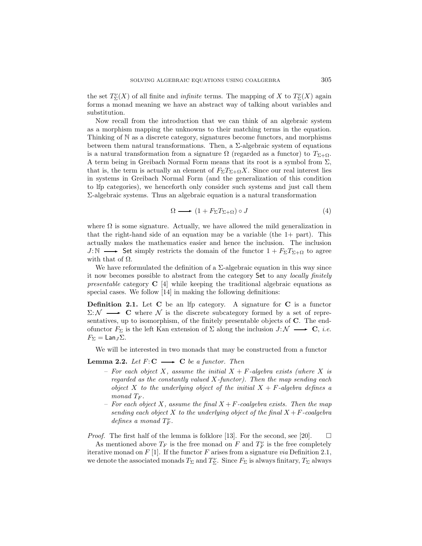the set  $T_{\Sigma}^{\nu}(X)$  of all finite and *infinite* terms. The mapping of X to  $T_{\Sigma}^{\nu}(X)$  again forms a monad meaning we have an abstract way of talking about variables and substitution.

Now recall from the introduction that we can think of an algebraic system as a morphism mapping the unknowns to their matching terms in the equation. Thinking of N as a discrete category, signatures become functors, and morphisms between them natural transformations. Then, a  $\Sigma$ -algebraic system of equations is a natural transformation from a signature  $\Omega$  (regarded as a functor) to  $T_{\Sigma+\Omega}$ . A term being in Greibach Normal Form means that its root is a symbol from  $\Sigma$ , that is, the term is actually an element of  $F_{\Sigma}T_{\Sigma+\Omega}X$ . Since our real interest lies in systems in Greibach Normal Form (and the generalization of this condition to lfp categories), we henceforth only consider such systems and just call them Σ-algebraic systems. Thus an algebraic equation is a natural transformation

$$
\Omega \longrightarrow (1 + F_{\Sigma} T_{\Sigma + \Omega}) \circ J \tag{4}
$$

where  $\Omega$  is some signature. Actually, we have allowed the mild generalization in that the right-hand side of an equation may be a variable (the  $1+$  part). This actually makes the mathematics easier and hence the inclusion. The inclusion  $J:\mathbb{N} \longrightarrow$  Set simply restricts the domain of the functor  $1 + F_{\Sigma}T_{\Sigma+\Omega}$  to agree with that of  $\Omega$ .

We have reformulated the definition of a  $\Sigma$ -algebraic equation in this way since it now becomes possible to abstract from the category Set to any *locally finitely presentable* category **C** [4] while keeping the traditional algebraic equations as special cases. We follow [14] in making the following definitions:

**Definition 2.1.** Let **C** be an lfp category. A signature for **C** is a functor  $\Sigma: \mathcal{N} \longrightarrow \mathbf{C}$  where  $\mathcal N$  is the discrete subcategory formed by a set of representatives, up to isomorphism, of the finitely presentable objects of **C**. The endofunctor  $F_{\Sigma}$  is the left Kan extension of  $\Sigma$  along the inclusion  $J: \mathcal{N} \longrightarrow \mathbf{C}$ , *i.e.*  $F_{\Sigma} = \text{Lan}_J \Sigma.$ 

We will be interested in two monads that may be constructed from a functor

### **Lemma 2.2.** *Let*  $F: C \longrightarrow C$  *be a functor. Then*

- *For each object* X*, assume the initial* X + F*-algebra exists (where* X *is regarded as the constantly valued* X*-functor). Then the map sending each object* X to the underlying object of the initial  $X + F$ -algebra defines a *monad*  $T_F$ .
- *For each object* X*, assume the final* X +F*-coalgebra exists. Then the map sending each object* X *to the underlying object of the final*  $X + F$ *-coalgebra*  $defines \ a \ monad \ T_F^{\nu}$ .

*Proof.* The first half of the lemma is folklore [13]. For the second, see [20].  $\Box$ 

As mentioned above  $T_F$  is the free monad on F and  $T_F^{\nu}$  is the free completely iterative monad on F [1]. If the functor F arises from a signature *via* Definition 2.1, we denote the associated monads  $T_{\Sigma}$  and  $T_{\Sigma}^{\nu}$ . Since  $F_{\Sigma}$  is always finitary,  $T_{\Sigma}$  always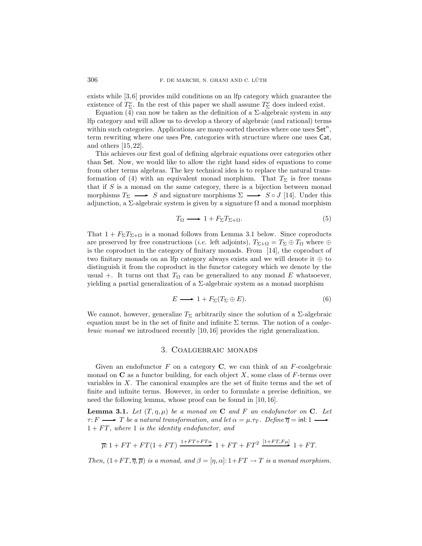exists while [3, 6] provides mild conditions on an lfp category which guarantee the existence of  $T_{\Sigma}^{\nu}$ . In the rest of this paper we shall assume  $T_{\Sigma}^{\nu}$  does indeed exist.

Equation (4) can now be taken as the definition of a  $\Sigma$ -algebraic system in any lfp category and will allow us to develop a theory of algebraic (and rational) terms within such categories. Applications are many-sorted theories where one uses  $Set<sup>n</sup>$ , term rewriting where one uses Pre, categories with structure where one uses Cat, and others [15, 22].

This achieves our first goal of defining algebraic equations over categories other than Set. Now, we would like to allow the right hand sides of equations to come from other terms algebras. The key technical idea is to replace the natural transformation of (4) with an equivalent monad morphism. That  $T_{\Sigma}$  is free means that if  $S$  is a monad on the same category, there is a bijection between monad morphisms  $T_{\Sigma} \longrightarrow S$  and signature morphisms  $\Sigma \longrightarrow S \circ J$  [14]. Under this adjunction, a  $\Sigma$ -algebraic system is given by a signature  $\Omega$  and a monad morphism

$$
T_{\Omega} \longrightarrow 1 + F_{\Sigma} T_{\Sigma + \Omega}.
$$
\n<sup>(5)</sup>

That  $1 + F_{\Sigma}T_{\Sigma+\Omega}$  is a monad follows from Lemma 3.1 below. Since coproducts are preserved by free constructions (*i.e.* left adjoints),  $T_{\Sigma+\Omega} = T_{\Sigma} \oplus T_{\Omega}$  where  $\oplus$ is the coproduct in the category of finitary monads. From [14], the coproduct of two finitary monads on an lfp category always exists and we will denote it ⊕ to distinguish it from the coproduct in the functor category which we denote by the usual +. It turns out that  $T_{\Omega}$  can be generalized to any monad E whatsoever, yielding a partial generalization of a  $\Sigma$ -algebraic system as a monad morphism

$$
E \longrightarrow 1 + F_{\Sigma}(T_{\Sigma} \oplus E). \tag{6}
$$

We cannot, however, generalize  $T_{\Sigma}$  arbitrarily since the solution of a  $\Sigma$ -algebraic equation must be in the set of finite and infinite Σ terms. The notion of a *coalgebraic monad* we introduced recently [10, 16] provides the right generalization.

## 3. Coalgebraic monads

Given an endofunctor  $F$  on a category  $C$ , we can think of an  $F$ -coalgebraic monad on  $C$  as a functor building, for each object  $X$ , some class of  $F$ -terms over variables in X. The canonical examples are the set of finite terms and the set of finite and infinite terms. However, in order to formulate a precise definition, we need the following lemma, whose proof can be found in [10, 16].

**Lemma 3.1.** *Let*  $(T, \eta, \mu)$  *be a monad on* **C** *and* F *an endofunctor on* **C***. Let*  $\tau: F \longrightarrow T$  *be a natural transformation, and let*  $\alpha = \mu.\tau_T$ . Define  $\overline{\eta} = \text{inl}: 1 \longrightarrow$ 1 + F T *, where* 1 *is the identity endofunctor, and*

$$
\overline{\mu}: 1 + FT + FT(1 + FT) \xrightarrow{1 + FT + FT\alpha} 1 + FT + FT^2 \xrightarrow{[1 + FT, F\mu]} 1 + FT.
$$

*Then,*  $(1 + FT, \overline{\eta}, \overline{\mu})$  *is a monad, and*  $\beta = [\eta, \alpha]: 1 + FT \rightarrow T$  *is a monad morphism.*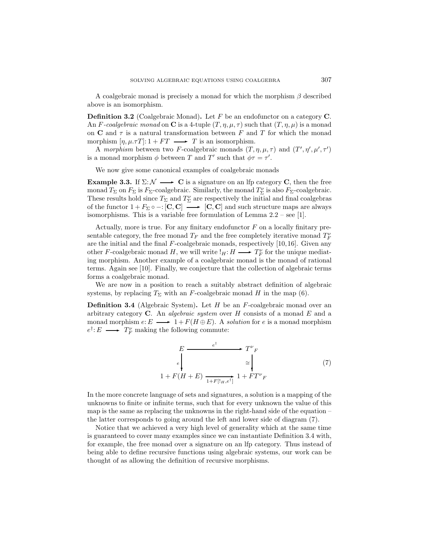A coalgebraic monad is precisely a monad for which the morphism  $\beta$  described above is an isomorphism.

**Definition 3.2** (Coalgebraic Monad)**.** Let F be an endofunctor on a category **C**. An F-coalgebraic monad on **C** is a 4-tuple  $(T, \eta, \mu, \tau)$  such that  $(T, \eta, \mu)$  is a monad on **C** and  $\tau$  is a natural transformation between F and T for which the monad morphism  $[\eta, \mu. \tau T] : 1 + FT \longrightarrow T$  is an isomorphism.

A *morphism* between two *F*-coalgebraic monads  $(T, \eta, \mu, \tau)$  and  $(T', \eta', \mu', \tau')$ is a monad morphism  $\phi$  between T and T' such that  $\phi \tau = \tau'.$ 

We now give some canonical examples of coalgebraic monads

**Example 3.3.** If  $\Sigma: \mathcal{N} \longrightarrow \mathbf{C}$  is a signature on an lfp category **C**, then the free monad  $T_{\Sigma}$  on  $F_{\Sigma}$  is  $F_{\Sigma}$ -coalgebraic. Similarly, the monad  $T_{\Sigma}^{\nu}$  is also  $F_{\Sigma}$ -coalgebraic. These results hold since  $T_{\Sigma}$  and  $T_{\Sigma}^{\nu}$  are respectively the initial and final coalgebras of the functor  $1 + F_{\Sigma} \circ -: [\mathbf{C}, \mathbf{C}] \longrightarrow [\mathbf{C}, \mathbf{C}]$  and such structure maps are always isomorphisms. This is a variable free formulation of Lemma 2.2 – see [1].

Actually, more is true. For any finitary endofunctor  $F$  on a locally finitary presentable category, the free monad  $T_F$  and the free completely iterative monad  $T_F^{\nu}$ are the initial and the final  $F$ -coalgebraic monads, respectively  $[10,16]$ . Given any other F-coalgebraic monad H, we will write  $!_H: H \longrightarrow T_F^{\nu}$  for the unique mediating morphism. Another example of a coalgebraic monad is the monad of rational terms. Again see [10]. Finally, we conjecture that the collection of algebraic terms forms a coalgebraic monad.

We are now in a position to reach a suitably abstract definition of algebraic systems, by replacing  $T_{\Sigma}$  with an F-coalgebraic monad H in the map (6).

**Definition 3.4** (Algebraic System). Let H be an F-coalgebraic monad over an arbitrary category **C**. An *algebraic system* over H consists of a monad E and a monad morphism  $e: E \longrightarrow 1 + F(H \oplus E)$ . A *solution* for e is a monad morphism  $e^{\dagger}$ :  $E \longrightarrow T_F^{\nu}$  making the following commute:

$$
E \xrightarrow{e^{\dagger}} T^{\nu}{}_{F}
$$
\n
$$
e \downarrow \qquad \qquad \cong \qquad \qquad \cong
$$
\n
$$
1 + F(H + E) \xrightarrow{1 + F[!_{H}, e^{\dagger}]} 1 + FT^{\nu}{}_{F}
$$
\n
$$
(7)
$$

In the more concrete language of sets and signatures, a solution is a mapping of the unknowns to finite or infinite terms, such that for every unknown the value of this map is the same as replacing the unknowns in the right-hand side of the equation  $$ the latter corresponds to going around the left and lower side of diagram (7).

Notice that we achieved a very high level of generality which at the same time is guaranteed to cover many examples since we can instantiate Definition 3.4 with, for example, the free monad over a signature on an lfp category. Thus instead of being able to define recursive functions using algebraic systems, our work can be thought of as allowing the definition of recursive morphisms.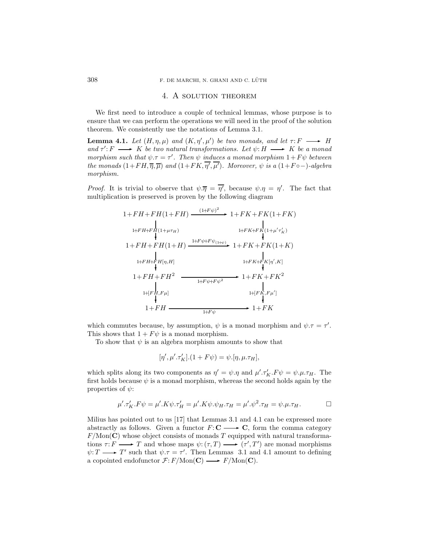#### 4. A solution theorem

We first need to introduce a couple of technical lemmas, whose purpose is to ensure that we can perform the operations we will need in the proof of the solution theorem. We consistently use the notations of Lemma 3.1.

**Lemma 4.1.** *Let*  $(H, \eta, \mu)$  *and*  $(K, \eta', \mu')$  *be two monads, and let*  $\tau: F \longrightarrow H$ and  $\tau' : F \longrightarrow K$  *be two natural transformations. Let*  $\psi : H \longrightarrow K$  *be a monad morphism such that*  $\psi \cdot \tau = \tau'$ . *Then*  $\psi$  *induces a monad morphism*  $1 + F\psi$  *between the monads*  $(1 + FH, \overline{\eta}, \overline{\mu})$  *and*  $(1 + FK, \overline{\eta'}, \overline{\mu'})$ *. Moreover,*  $\psi$  *is a*  $(1 + F \circ -)$ *-algebra morphism.*

*Proof.* It is trivial to observe that  $\psi \cdot \overline{\eta} = \overline{\eta'}$ , because  $\psi \cdot \eta = \eta'$ . The fact that multiplication is preserved is proven by the following diagram

$$
1 + FH + FH(1 + FH) \xrightarrow{\text{H-FW}} 1 + FK + FK(1 + FK)
$$
\n
$$
1 + FH + FH(1 + \mu \tau_{H}) \xrightarrow{\text{H-FK}} 1 + FK + FK(1 + \mu' \tau_{K}')
$$
\n
$$
1 + FH + FH(1 + H) \xrightarrow{\text{H-FW}} 1 + FK + FK(1 + K)
$$
\n
$$
1 + FH + FH(\eta, H) \xrightarrow{\text{H-FK}} 1 + FK + FK(\eta', K)
$$
\n
$$
1 + FH + FH^{2} \xrightarrow{\text{H-FW}} 1 + FK + FK^{2}
$$
\n
$$
1 + FH + FH^{2} \xrightarrow{\text{H/FW}} 1 + FK + FK^{2}
$$
\n
$$
1 + FH \xrightarrow{\text{H/FW}} 1 + FE
$$
\n
$$
1 + FH \xrightarrow{\text{H/FW}} 1 + FE
$$
\n
$$
1 + FH \xrightarrow{\text{H/FW}} 1 + FE
$$

which commutes because, by assumption,  $\psi$  is a monad morphism and  $\psi \tau = \tau'$ . This shows that  $1 + F\psi$  is a monad morphism.

To show that  $\psi$  is an algebra morphism amounts to show that

$$
[\eta',\mu'.\tau_K'].(1+F\psi)=\psi.[\eta,\mu.\tau_H],
$$

which splits along its two components as  $\eta' = \psi \cdot \eta$  and  $\mu' \cdot \tau_K' \cdot F \psi = \psi \cdot \mu \cdot \tau_H$ . The first holds because  $\psi$  is a monad morphism, whereas the second holds again by the properties of  $\psi$ :

$$
\mu'.\tau'_K.F\psi = \mu'.K\psi.\tau'_H = \mu'.K\psi.\psi_H.\tau_H = \mu'.\psi^2.\tau_H = \psi.\mu.\tau_H.
$$

Milius has pointed out to us [17] that Lemmas 3.1 and 4.1 can be expressed more abstractly as follows. Given a functor  $F: \mathbb{C} \longrightarrow \mathbb{C}$ , form the comma category  $F/\text{Mon}(\mathbf{C})$  whose object consists of monads T equipped with natural transformations  $\tau: F \longrightarrow T$  and whose maps  $\psi: (\tau, T) \longrightarrow (\tau', T')$  are monad morphisms  $\psi: T \longrightarrow T'$  such that  $\psi: \tau = \tau'$ . Then Lemmas 3.1 and 4.1 amount to defining a copointed endofunctor  $\mathcal{F}: F/\text{Mon}(\mathbf{C}) \longrightarrow F/\text{Mon}(\mathbf{C})$ .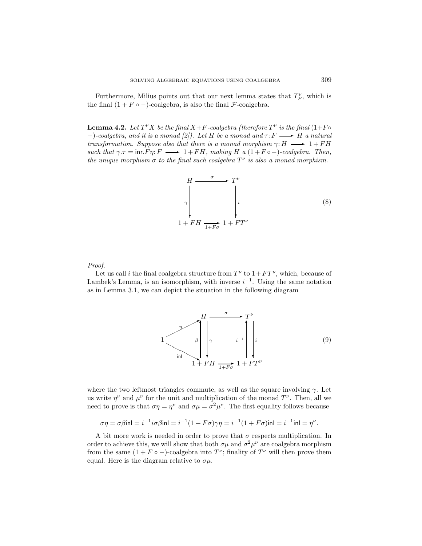Furthermore, Milius points out that our next lemma states that  $T_F^{\nu}$ , which is the final  $(1 + F \circ -)$ -coalgebra, is also the final *F*-coalgebra.

**Lemma 4.2.** *Let*  $T^{\nu}X$  *be the final*  $X+F$ -coalgebra (therefore  $T^{\nu}$  *is the final* (1+F $\circ$  $-$ *)*-coalgebra, and it is a monad  $[2]$ ). Let H be a monad and  $\tau$ :  $F \longrightarrow H$  a natural *transformation. Suppose also that there is a monad morphism*  $\gamma: H \longrightarrow 1 + FH$ *such that*  $\gamma \tau = \text{inr} \ F$   $\tau \longrightarrow 1 + FH$ , making H a  $(1 + F \circ -)$ *-coalgebra. Then, the unique morphism*  $\sigma$  *to the final such coalgebra*  $T^{\nu}$  *is also a monad morphism.* 

$$
H \xrightarrow{\sigma} T^{\nu}
$$
\n
$$
\begin{bmatrix}\n\\ \gamma \\
\\ 1 + FH \xrightarrow{1 + F\sigma} 1 + FT^{\nu}\n\end{bmatrix}
$$
\n(8)

#### *Proof.*

Let us call i the final coalgebra structure from  $T^{\nu}$  to  $1 + FT^{\nu}$ , which, because of Lambek's Lemma, is an isomorphism, with inverse  $i^{-1}$ . Using the same notation as in Lemma 3.1, we can depict the situation in the following diagram



where the two leftmost triangles commute, as well as the square involving  $\gamma$ . Let us write  $\eta^{\nu}$  and  $\mu^{\nu}$  for the unit and multiplication of the monad  $T^{\nu}$ . Then, all we need to prove is that  $\sigma \eta = \eta^{\nu}$  and  $\sigma \mu = \sigma^2 \mu^{\nu}$ . The first equality follows because

$$
\sigma \eta = \sigma \beta \text{inl} = i^{-1} i \sigma \beta \text{inl} = i^{-1} (1 + F \sigma) \gamma \eta = i^{-1} (1 + F \sigma) \text{inl} = i^{-1} \text{inl} = \eta^{\nu}.
$$

A bit more work is needed in order to prove that  $\sigma$  respects multiplication. In order to achieve this, we will show that both  $\sigma\mu$  and  $\sigma^2\mu^{\nu}$  are coalgebra morphism from the same  $(1 + F \circ -)$ -coalgebra into  $T^{\nu}$ ; finality of  $T^{\nu}$  will then prove them equal. Here is the diagram relative to  $\sigma\mu$ .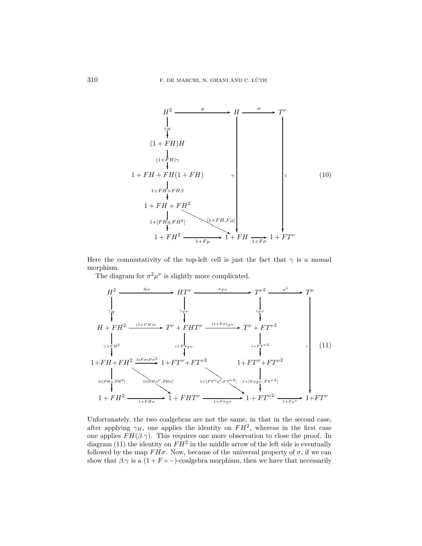$$
H^{2} \longrightarrow H \longrightarrow T^{\nu}
$$
\n
$$
\downarrow
$$
\n
$$
(1 + FH)H
$$
\n
$$
(1 + FH)H
$$
\n
$$
1 + FH + FH(1 + FH)
$$
\n
$$
1 + FH + FH^2
$$
\n
$$
1 + FH + FH^2
$$
\n
$$
1 + FH + FH^2
$$
\n
$$
1 + FH^2 \longrightarrow [1 + FH, Fu]
$$
\n
$$
1 + FH^2 \longrightarrow 1 + FH \longrightarrow 1 + FH \longrightarrow 1 + FT^{\nu}
$$
\n
$$
(10)
$$

Here the commutativity of the top-left cell is just the fact that  $\gamma$  is a monad morphism.

The diagram for  $\sigma^2 \mu^{\nu}$  is slightly more complicated.

$$
H^{2} \longrightarrow H^{2} \longrightarrow H^{2} \longrightarrow T^{\nu^{2}} \longrightarrow T^{\nu^{2}} \longrightarrow T^{\nu}
$$
\n
$$
H + FH^{2} \longrightarrow T^{\nu + FH)\sigma} T^{\nu} + FH^{2} \longrightarrow T^{\nu + FHT^{\nu} \longrightarrow T^{\nu + FFT^{\nu^{2}}}
$$
\n
$$
H + FH^{2} \longrightarrow T^{\nu + FHT^{\nu} \longrightarrow T^{\nu + FFT^{\nu^{2}}}
$$
\n
$$
H + FH^{2} \longrightarrow T^{\nu + FHT^{\nu} \longrightarrow T^{\nu + FFT^{\nu^{2}}}
$$
\n
$$
H + FH^{2} \longrightarrow T^{\nu + FHT^{\nu} \longrightarrow T^{\nu + FFT^{\nu^{2}}}
$$
\n
$$
H + FH^{2} \longrightarrow T^{\nu + FFT^{\nu} \longrightarrow T^{\nu^{2}} \longrightarrow T^{\nu + FFT^{\nu^{2}}}
$$
\n
$$
H + FH^{2} \longrightarrow T^{\nu + FFT^{\nu} \longrightarrow T^{\nu + FFT^{\nu^{2}}}
$$
\n
$$
H + FH^{2} \longrightarrow T^{\nu + FFT^{\nu} \longrightarrow T^{\nu + FFT^{\nu}} \longrightarrow T^{\nu + FFT^{\nu^{2}}}
$$
\n
$$
H + FH^{2} \longrightarrow T^{\nu + FFT^{\nu} \longrightarrow T^{\nu + FFT^{\nu}} \longrightarrow T^{\nu + FFT^{\nu^{2}}}
$$
\n
$$
H + FH^{2} \longrightarrow T^{\nu + FFT^{\nu} \longrightarrow T^{\nu + FFT^{\nu}} \longrightarrow T^{\nu + FFT^{\nu}} \longrightarrow T^{\nu + FFT^{\nu} \longrightarrow T^{\nu + FFT^{\nu}} \longrightarrow T^{\nu + FFT^{\nu}} \longrightarrow T^{\nu + FFT^{\nu} \longrightarrow T^{\nu + FFT^{\nu}} \longrightarrow T^{\nu + FFT^{\nu} \longrightarrow T^{\nu + FFT^{\nu}} \longrightarrow T^{\nu + FFT^{\nu} \longrightarrow T^{\nu + FFT^{\nu}} \longrightarrow T^{\nu + FFT^{\nu + FFT^{\nu}} \longrightarrow T^{\nu + FFT^{\nu + FFT^{\nu}} \longrightarrow T^{\nu + FFT^{\nu + FFT^{\nu}} \longrightarrow T^{\nu + FFT^{\nu + FFT^{\nu}} \longrightarrow T^{\nu + FFT^{\nu + FFT^{\nu}} \longrightarrow T^{\nu + FFT^{\nu + FFT^{\nu}} \longrightarrow T^{\nu + FFT^{\nu + FFT^{\nu}} \longrightarrow T^{\nu
$$

Unfortunately, the two coalgebras are not the same, in that in the second case, after applying  $\gamma_H$ , one applies the identity on  $FH^2$ , whereas in the first case one applies  $FH(\beta, \gamma)$ . This requires one more observation to close the proof. In diagram (11) the identity on  $FH^2$  in the middle arrow of the left side is eventually followed by the map  $FH\sigma$ . Now, because of the universal property of  $\sigma$ , if we can show that  $\beta.\gamma$  is a  $(1 + F \circ -)$ -coalgebra morphism, then we have that necessarily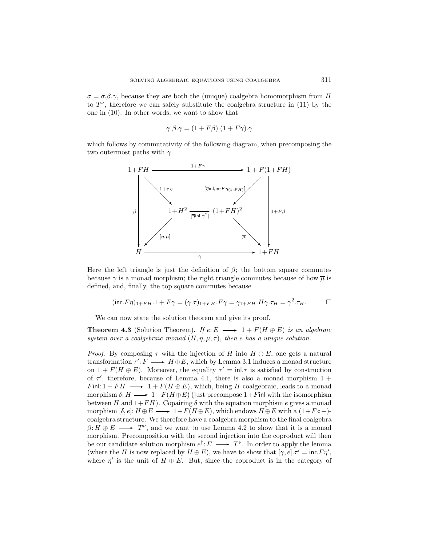$\sigma = \sigma \beta$ . because they are both the (unique) coalgebra homomorphism from H to  $T^{\nu}$ , therefore we can safely substitute the coalgebra structure in (11) by the one in (10). In other words, we want to show that

$$
\gamma.\beta.\gamma = (1 + F\beta).(1 + F\gamma).\gamma
$$

which follows by commutativity of the following diagram, when precomposing the two outermost paths with  $\gamma$ .



Here the left triangle is just the definition of  $\beta$ ; the bottom square commutes because  $\gamma$  is a monad morphism; the right triangle commutes because of how  $\overline{\mu}$  is defined, and, finally, the top square commutes because

$$
(\text{inr.}F\eta)_{1+FH.} + F\gamma = (\gamma.\tau)_{1+FH.}F\gamma = \gamma_{1+FH.}H\gamma.\tau_H = \gamma^2.\tau_H. \Box
$$

We can now state the solution theorem and give its proof.

**Theorem 4.3** (Solution Theorem). If  $e: E \longrightarrow 1 + F(H \oplus E)$  *is an algebraic system over a coalgebraic monad*  $(H, \eta, \mu, \tau)$ *, then e has a unique solution.* 

*Proof.* By composing  $\tau$  with the injection of H into  $H \oplus E$ , one gets a natural transformation  $\tau': F \longrightarrow H \oplus E$ , which by Lemma 3.1 induces a monad structure on  $1 + F(H \oplus E)$ . Moreover, the equality  $\tau' = \text{inl.}\tau$  is satisfied by construction of  $\tau'$ , therefore, because of Lemma 4.1, there is also a monad morphism  $1 +$ Finl:  $1 + FH \longrightarrow 1 + F(H \oplus E)$ , which, being H coalgebraic, leads to a monad morphism  $\delta: H \longrightarrow 1 + F(H \oplus E)$  (just precompose  $1 + F$ inl with the isomorphism between H and  $1 + FH$ . Copairing  $\delta$  with the equation morphism e gives a monad morphism  $[\delta, e]: H \oplus E \longrightarrow 1 + F(H \oplus E)$ , which endows  $H \oplus E$  with a  $(1 + F \circ -)$ coalgebra structure. We therefore have a coalgebra morphism to the final coalgebra  $\beta: H \oplus E \longrightarrow T^{\nu}$ , and we want to use Lemma 4.2 to show that it is a monad morphism. Precomposition with the second injection into the coproduct will then be our candidate solution morphism  $e^{\dagger}: E \longrightarrow T^{\nu}$ . In order to apply the lemma (where the H is now replaced by  $H \oplus E$ ), we have to show that  $[\gamma, e] \cdot \tau' = \text{inr.} F \eta'$ , where  $\eta'$  is the unit of  $H \oplus E$ . But, since the coproduct is in the category of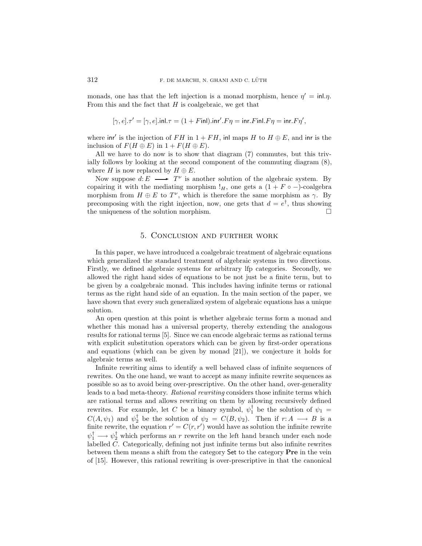monads, one has that the left injection is a monad morphism, hence  $\eta' = \text{inl.}\eta$ . From this and the fact that  $H$  is coalgebraic, we get that

$$
[\gamma, e] \cdot \tau' = [\gamma, e] \cdot \text{inl} \cdot \tau = (1 + F \text{inl}) \cdot \text{inr}' \cdot F \eta = \text{inr} \cdot F \text{inl} \cdot F \eta = \text{inr} \cdot F \eta',
$$

where inr' is the injection of FH in  $1 + FH$ , inl maps H to  $H \oplus E$ , and inr is the inclusion of  $F(H \oplus E)$  in  $1 + F(H \oplus E)$ .

All we have to do now is to show that diagram (7) commutes, but this trivially follows by looking at the second component of the commuting diagram (8), where H is now replaced by  $H \oplus E$ .

Now suppose  $d: E \longrightarrow T^{\nu}$  is another solution of the algebraic system. By copairing it with the mediating morphism  $!_H$ , one gets a  $(1 + F \circ -)$ -coalgebra morphism from  $H \oplus E$  to  $T^{\nu}$ , which is therefore the same morphism as  $\gamma$ . By precomposing with the right injection, now, one gets that  $d = e^{\dagger}$ , thus showing the uniqueness of the solution morphism.  $\Box$ 

## 5. Conclusion and further work

In this paper, we have introduced a coalgebraic treatment of algebraic equations which generalized the standard treatment of algebraic systems in two directions. Firstly, we defined algebraic systems for arbitrary lfp categories. Secondly, we allowed the right hand sides of equations to be not just be a finite term, but to be given by a coalgebraic monad. This includes having infinite terms or rational terms as the right hand side of an equation. In the main section of the paper, we have shown that every such generalized system of algebraic equations has a unique solution.

An open question at this point is whether algebraic terms form a monad and whether this monad has a universal property, thereby extending the analogous results for rational terms [5]. Since we can encode algebraic terms as rational terms with explicit substitution operators which can be given by first-order operations and equations (which can be given by monad [21]), we conjecture it holds for algebraic terms as well.

Infinite rewriting aims to identify a well behaved class of infinite sequences of rewrites. On the one hand, we want to accept as many infinite rewrite sequences as possible so as to avoid being over-prescriptive. On the other hand, over-generality leads to a bad meta-theory. *Rational rewriting* considers those infinite terms which are rational terms and allows rewriting on them by allowing recursively defined rewrites. For example, let C be a binary symbol,  $\psi_1^{\dagger}$  be the solution of  $\psi_1 =$  $C(A, \psi_1)$  and  $\psi_2^{\dagger}$  be the solution of  $\psi_2 = C(B, \psi_2)$ . Then if  $r: A \longrightarrow B$  is a finite rewrite, the equation  $r' = C(r, r')$  would have as solution the infinite rewrite  $\psi_1^{\dagger} \longrightarrow \psi_2^{\dagger}$  which performs an r rewrite on the left hand branch under each node labelled C. Categorically, defining not just infinite terms but also infinite rewrites between them means a shift from the category Set to the category **Pre** in the vein of [15]. However, this rational rewriting is over-prescriptive in that the canonical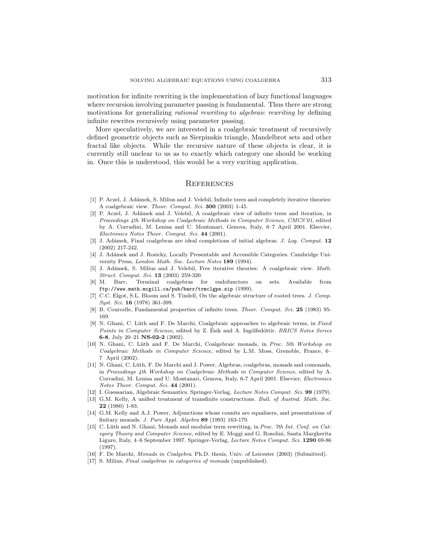motivation for infinite rewriting is the implementation of lazy functional languages where recursion involving parameter passing is fundamental. Thus there are strong motivations for generalizing *rational rewriting* to *algebraic rewriting* by defining infinite rewrites recursively using parameter passing.

More speculatively, we are interested in a coalgebraic treatment of recursively defined geometric objects such as Sierpinskis triangle, Mandelbrot sets and other fractal like objects. While the recursive nature of these objects is clear, it is currently still unclear to us as to exactly which category one should be working in. Once this is understood, this would be a very exciting application.

#### **REFERENCES**

- [1] P. Aczel, J. Adámek, S. Milius and J. Velebil, Infinite trees and completely iterative theories: A coalgebraic view. Theor. Comput. Sci. **300** (2003) 1-45.
- [2] P. Aczel, J. Adámek and J. Velebil, A coalgebraic view of infinite trees and iteration, in Proceedings 4th Workshop on Coalgebraic Methods in Computer Science, CMCS'01, edited by A. Corradini, M. Lenisa and U. Montanari, Genova, Italy, 6–7 April 2001. Elsevier, Electronics Notes Theor. Comput. Sci. **44** (2001).
- [3] J. Ad´amek, Final coalgebras are ideal completions of initial algebras. J. Log. Comput. **12** (2002) 217-242.
- [4] J. Adámek and J. Rosicky, Locally Presentable and Accessible Categories. Cambridge University Press, London Math. Soc. Lecture Notes **189** (1994).
- [5] J. Adámek, S. Milius and J. Velebil, Free iterative theories: A coalgebraic view. Math. Struct. Comput. Sci. **13** (2003) 259-320.
- [6] M. Barr, Terminal coalgebras for endofunctors on sets. Available from ftp://www.math.mcgill.ca/pub/barr/trmclgps.zip (1999).
- [7] C.C. Elgot, S.L. Bloom and S. Tindell, On the algebraic structure of rooted trees. J. Comp. Syst. Sci. **16** (1978) 361-399.
- [8] B. Courcelle, Fundamental properties of infinite trees. Theor. Comput. Sci. **25** (1983) 95- 169.
- [9] N. Ghani, C. Lüth and F. De Marchi, Coalgebraic approaches to algebraic terms, in Fixed Points in Computer Science, edited by Z. Esik and A. Ingólfsdóttir. BRICS Notes Series **6-8**, July 20–21 **NS-02-2** (2002).
- [10] N. Ghani, C. Lüth and F. De Marchi, Coalgebraic monads, in Proc. 5th Workshop on Coalgebraic Methods in Computer Science, edited by L.M. Moss, Grenoble, France, 6– 7 April (2002).
- [11] N. Ghani, C. Lüth, F. De Marchi and J. Power, Algebras, coalgebras, monads and comonads, in Proceedings 4th Workshop on Coalgebraic Methods in Computer Science, edited by A. Corradini, M. Lenisa and U. Montanari, Genova, Italy, 6-7 April 2001. Elsevier, Electronics Notes Theor. Comput. Sci. **44** (2001).
- [12] I. Guessarian, Algebraic Semantics. Springer-Verlag, Lecture Notes Comput. Sci. **99** (1979).
- [13] G.M. Kelly, A unified treatment of transfinite constructions. Bull. of Austral. Math. Soc. **22** (1980) 1-83.
- [14] G.M. Kelly and A.J. Power, Adjunctions whose counits are equalizers, and presentations of finitary monads. J. Pure Appl. Algebra **89** (1993) 163-179.
- [15] C. Lüth and N. Ghani, Monads and modular term rewriting, in Proc. 7th Int. Conf. on Category Theory and Computer Science, edited by E. Moggi and G. Rosolini, Santa Margherita Ligure, Italy, 4–6 September 1997. Springer-Verlag, Lecture Notes Comput. Sci. **1290** 69-86 (1997).
- [16] F. De Marchi, Monads in Coalgebra. Ph.D. thesis, Univ. of Leicester (2003) (Submitted).
- [17] S. Milius, *Final coalgebras in categories of monads* (unpublished).